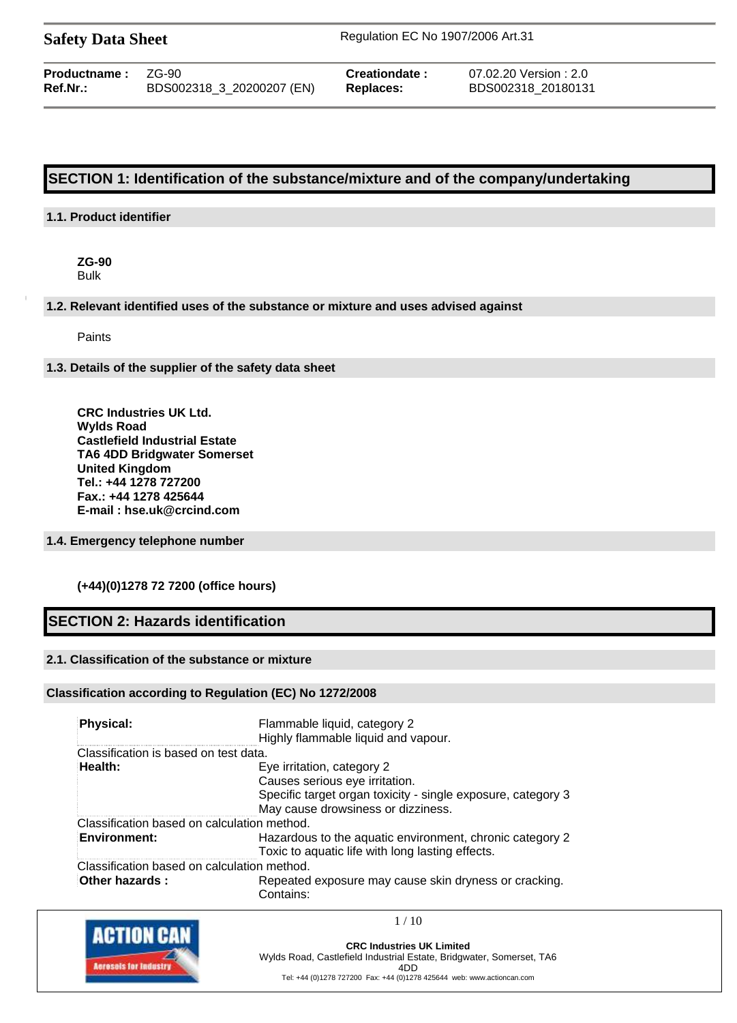| <b>Safety Data Sheet</b> |  |  |
|--------------------------|--|--|
|--------------------------|--|--|

**Safety Data Sheet** Regulation EC No 1907/2006 Art.31

| BDS002318_3_20200207 (EN)<br><b>Ref.Nr.:</b><br>Replaces: | <b>Productname:</b> | $ZG-90$ | Creationdate: | 07.02.20 Version : 2.0<br>BDS002318 20180131 |
|-----------------------------------------------------------|---------------------|---------|---------------|----------------------------------------------|
|-----------------------------------------------------------|---------------------|---------|---------------|----------------------------------------------|

# **SECTION 1: Identification of the substance/mixture and of the company/undertaking**

#### **1.1. Product identifier**

**ZG-90** Bulk

**1.2. Relevant identified uses of the substance or mixture and uses advised against**

Paints

**1.3. Details of the supplier of the safety data sheet**

**CRC Industries UK Ltd. Wylds Road Castlefield Industrial Estate TA6 4DD Bridgwater Somerset United Kingdom Tel.: +44 1278 727200 Fax.: +44 1278 425644 E-mail : hse.uk@crcind.com**

#### **1.4. Emergency telephone number**

#### **(+44)(0)1278 72 7200 (office hours)**

# **SECTION 2: Hazards identification**

#### **2.1. Classification of the substance or mixture**

#### **Classification according to Regulation (EC) No 1272/2008**

| Physical:                                   | Flammable liquid, category 2                                 |
|---------------------------------------------|--------------------------------------------------------------|
|                                             | Highly flammable liquid and vapour.                          |
| Classification is based on test data.       |                                                              |
| Health:                                     | Eye irritation, category 2                                   |
|                                             | Causes serious eye irritation.                               |
|                                             | Specific target organ toxicity - single exposure, category 3 |
|                                             | May cause drowsiness or dizziness.                           |
| Classification based on calculation method. |                                                              |
| <b>Environment:</b>                         | Hazardous to the aquatic environment, chronic category 2     |
|                                             | Toxic to aquatic life with long lasting effects.             |
| Classification based on calculation method. |                                                              |
| Other hazards:                              | Repeated exposure may cause skin dryness or cracking.        |
|                                             | Contains:                                                    |



**CRC Industries UK Limited** Wylds Road, Castlefield Industrial Estate, Bridgwater, Somerset, TA6 4DD Tel: +44 (0)1278 727200 Fax: +44 (0)1278 425644 web: www.actioncan.com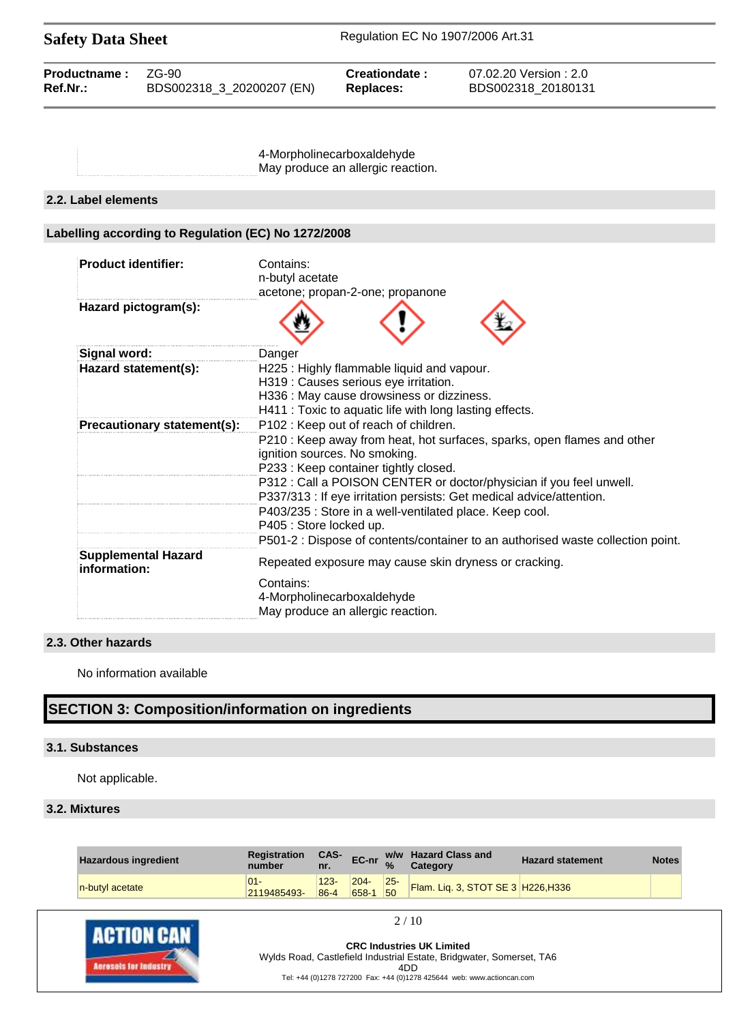| <b>Safety Data Sheet</b> |                           | Regulation EC No 1907/2006 Art.31 |                        |  |
|--------------------------|---------------------------|-----------------------------------|------------------------|--|
| <b>Productname:</b>      | ZG-90                     | Creationdate:                     | 07.02.20 Version : 2.0 |  |
| Ref.Nr.:                 | BDS002318 3 20200207 (EN) | Replaces:                         | BDS002318 20180131     |  |

4-Morpholinecarboxaldehyde May produce an allergic reaction.

#### **2.2. Label elements**

# **Labelling according to Regulation (EC) No 1272/2008**

| <b>Product identifier:</b>                 | Contains:<br>n-butyl acetate                                                                                                                                                                                             |
|--------------------------------------------|--------------------------------------------------------------------------------------------------------------------------------------------------------------------------------------------------------------------------|
|                                            | acetone; propan-2-one; propanone                                                                                                                                                                                         |
| Hazard pictogram(s):                       |                                                                                                                                                                                                                          |
| Signal word:                               | Danger                                                                                                                                                                                                                   |
| Hazard statement(s):                       | H225: Highly flammable liquid and vapour.<br>H319 : Causes serious eye irritation.<br>H336 : May cause drowsiness or dizziness.                                                                                          |
|                                            | H411 : Toxic to aquatic life with long lasting effects.                                                                                                                                                                  |
| Precautionary statement(s):                | P102: Keep out of reach of children.                                                                                                                                                                                     |
|                                            | P210 : Keep away from heat, hot surfaces, sparks, open flames and other<br>ignition sources. No smoking.<br>P233 : Keep container tightly closed.<br>P312 : Call a POISON CENTER or doctor/physician if you feel unwell. |
|                                            | P337/313 : If eye irritation persists: Get medical advice/attention.                                                                                                                                                     |
|                                            | P403/235 : Store in a well-ventilated place. Keep cool.                                                                                                                                                                  |
|                                            | P405 : Store locked up.                                                                                                                                                                                                  |
|                                            | P501-2 : Dispose of contents/container to an authorised waste collection point.                                                                                                                                          |
| <b>Supplemental Hazard</b><br>information: | Repeated exposure may cause skin dryness or cracking.                                                                                                                                                                    |
|                                            | Contains:<br>4-Morpholinecarboxaldehyde<br>May produce an allergic reaction.                                                                                                                                             |

### **2.3. Other hazards**

No information available

# **SECTION 3: Composition/information on ingredients**

#### **3.1. Substances**

Not applicable.

#### **3.2. Mixtures**

| <b>Hazardous ingredient</b> | Registration<br>number | CAS-<br>nr.         | EC-nr $\frac{w_1}{\%}$ |              | w/w Hazard Class and<br>Category   | <b>Hazard statement</b> | <b>Notes</b> |
|-----------------------------|------------------------|---------------------|------------------------|--------------|------------------------------------|-------------------------|--------------|
| n-butyl acetate             | $01 -$<br>2119485493-  | $123 -$<br>$86 - 4$ | $204 -$<br>658-1       | $25 -$<br>50 | Flam. Liq. 3, STOT SE 3 H226, H336 |                         |              |

 $2/10$ 

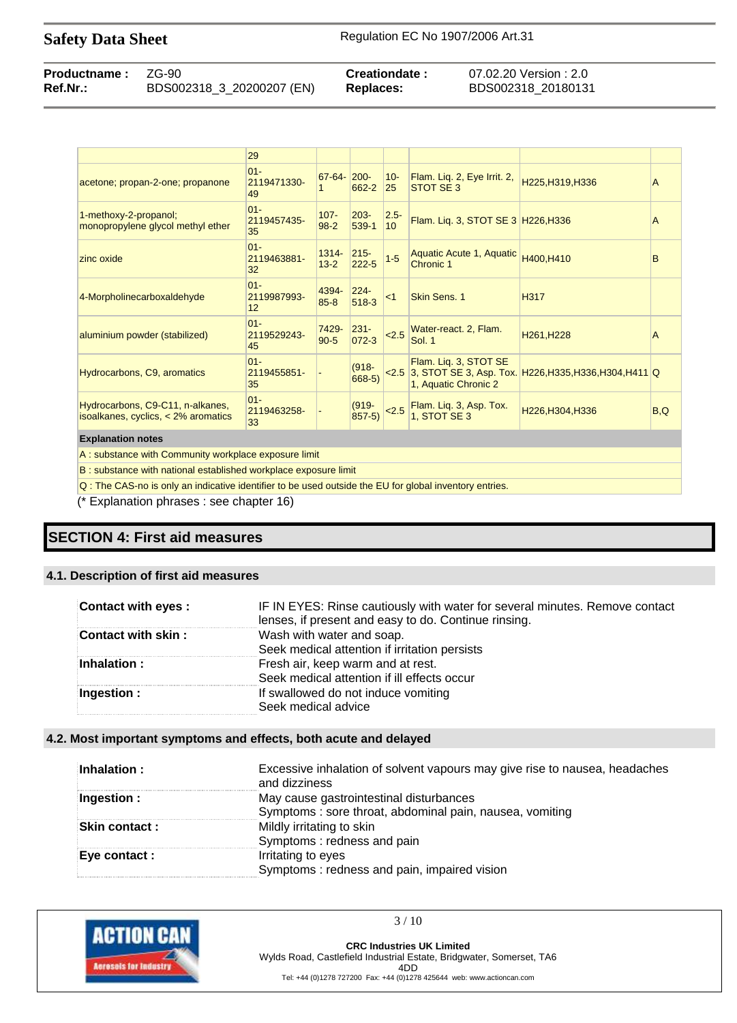| <b>Productname: ZG-90</b> |                           | Creationdate: | 07.02.20 Version : 2.0 |
|---------------------------|---------------------------|---------------|------------------------|
| Ref.Nr.:                  | BDS002318_3_20200207 (EN) | Replaces:     | BDS002318 20180131     |

|                                                                           | 29                          |                      |                      |                            |                                               |                                                             |     |
|---------------------------------------------------------------------------|-----------------------------|----------------------|----------------------|----------------------------|-----------------------------------------------|-------------------------------------------------------------|-----|
| acetone; propan-2-one; propanone                                          | $01 -$<br>2119471330-<br>49 | $67 - 64 -$          | $200 -$<br>662-2     | $10-$<br>25                | Flam. Liq. 2, Eye Irrit. 2,<br>STOT SE 3      | H225, H319, H336                                            | A   |
| 1-methoxy-2-propanol;<br>monopropylene glycol methyl ether                | $01 -$<br>2119457435-<br>35 | $107 -$<br>$98 - 2$  | $203 -$<br>539-1     | $2.5 -$<br>10 <sup>1</sup> | Flam. Liq. 3, STOT SE 3 H226, H336            |                                                             | A   |
| zinc oxide                                                                | $01 -$<br>2119463881-<br>32 | $1314 -$<br>$13 - 2$ | $215 -$<br>$222 - 5$ | $1 - 5$                    | Aquatic Acute 1, Aquatic<br>Chronic 1         | H400, H410                                                  | B   |
| 4-Morpholinecarboxaldehyde                                                | $01 -$<br>2119987993-<br>12 | 4394-<br>$85 - 8$    | $224 -$<br>$518-3$   | < 1                        | Skin Sens. 1                                  | H317                                                        |     |
| aluminium powder (stabilized)                                             | $01 -$<br>2119529243-<br>45 | 7429-<br>$90 - 5$    | $231 -$<br>$072 - 3$ | 2.5                        | Water-react. 2, Flam.<br><b>Sol. 1</b>        | H261, H228                                                  | A   |
| Hydrocarbons, C9, aromatics                                               | $01 -$<br>2119455851-<br>35 |                      | $(918 -$<br>$668-5)$ |                            | Flam. Lig. 3, STOT SE<br>1, Aquatic Chronic 2 | <2.5 3, STOT SE 3, Asp. Tox. H226, H335, H336, H304, H411 Q |     |
| Hydrocarbons, C9-C11, n-alkanes,<br>isoalkanes, cyclics, $<$ 2% aromatics | $01 -$<br>2119463258-<br>33 |                      | $(919 -$<br>$857-5)$ | 2.5                        | Flam. Liq. 3, Asp. Tox.<br>1. STOT SE 3       | H226, H304, H336                                            | B,Q |
| <b>Explanation notes</b>                                                  |                             |                      |                      |                            |                                               |                                                             |     |

A : substance with Community workplace exposure limit

B : substance with national established workplace exposure limit

Q : The CAS-no is only an indicative identifier to be used outside the EU for global inventory entries.

(\* Explanation phrases : see chapter 16)

# **SECTION 4: First aid measures**

#### **4.1. Description of first aid measures**

| <b>Contact with eyes:</b> | IF IN EYES: Rinse cautiously with water for several minutes. Remove contact<br>lenses, if present and easy to do. Continue rinsing. |
|---------------------------|-------------------------------------------------------------------------------------------------------------------------------------|
| <b>Contact with skin:</b> | Wash with water and soap.<br>Seek medical attention if irritation persists                                                          |
| Inhalation :              | Fresh air, keep warm and at rest.<br>Seek medical attention if ill effects occur                                                    |
| Ingestion:                | If swallowed do not induce vomiting<br>Seek medical advice                                                                          |

## **4.2. Most important symptoms and effects, both acute and delayed**

| Inhalation:   | Excessive inhalation of solvent vapours may give rise to nausea, headaches<br>and dizziness |
|---------------|---------------------------------------------------------------------------------------------|
| Ingestion :   | May cause gastrointestinal disturbances                                                     |
|               | Symptoms: sore throat, abdominal pain, nausea, vomiting                                     |
| Skin contact: | Mildly irritating to skin                                                                   |
|               | Symptoms: redness and pain                                                                  |
| Eye contact : | Irritating to eyes                                                                          |
|               | Symptoms: redness and pain, impaired vision                                                 |

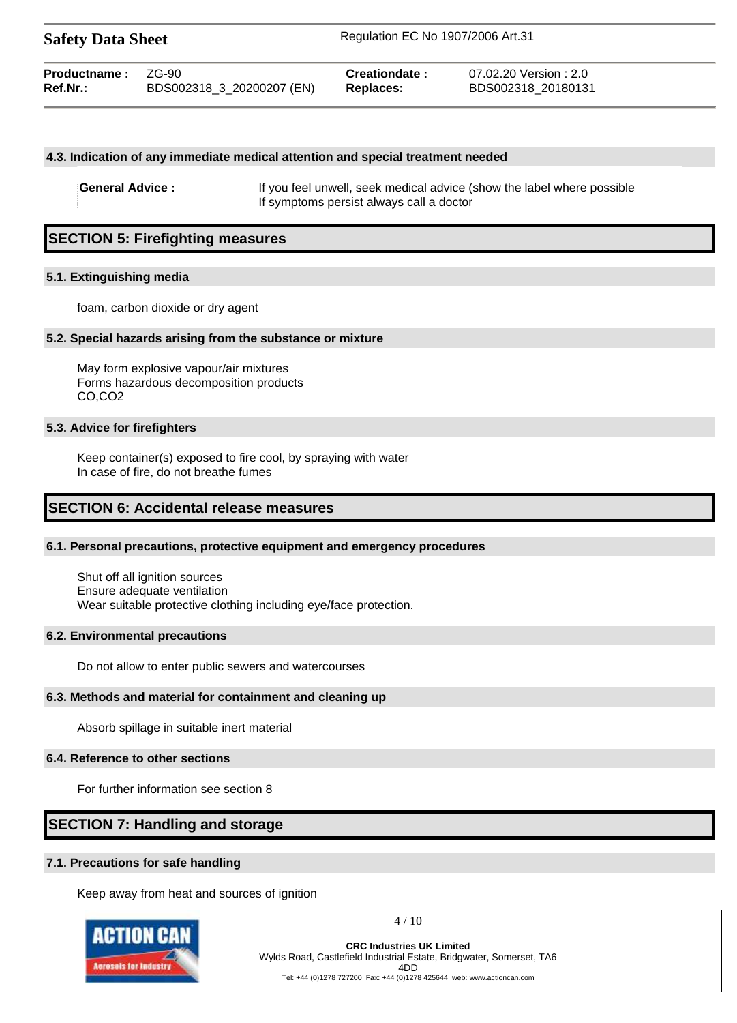| <b>Safety Data Sheet</b> |                           | Regulation EC No 1907/2006 Art.31 |                        |
|--------------------------|---------------------------|-----------------------------------|------------------------|
| Productname:             | ZG-90                     | Creationdate:                     | 07.02.20 Version : 2.0 |
| Ref.Nr.:                 | BDS002318_3_20200207 (EN) | <b>Replaces:</b>                  | BDS002318 20180131     |

#### **4.3. Indication of any immediate medical attention and special treatment needed**

**General Advice :** If you feel unwell, seek medical advice (show the label where possible If symptoms persist always call a doctor

# **SECTION 5: Firefighting measures**

#### **5.1. Extinguishing media**

foam, carbon dioxide or dry agent

#### **5.2. Special hazards arising from the substance or mixture**

May form explosive vapour/air mixtures Forms hazardous decomposition products CO,CO2

#### **5.3. Advice for firefighters**

Keep container(s) exposed to fire cool, by spraying with water In case of fire, do not breathe fumes

# **SECTION 6: Accidental release measures**

#### **6.1. Personal precautions, protective equipment and emergency procedures**

Shut off all ignition sources Ensure adequate ventilation Wear suitable protective clothing including eye/face protection.

#### **6.2. Environmental precautions**

Do not allow to enter public sewers and watercourses

#### **6.3. Methods and material for containment and cleaning up**

Absorb spillage in suitable inert material

#### **6.4. Reference to other sections**

For further information see section 8

# **SECTION 7: Handling and storage**

#### **7.1. Precautions for safe handling**

Keep away from heat and sources of ignition



4 / 10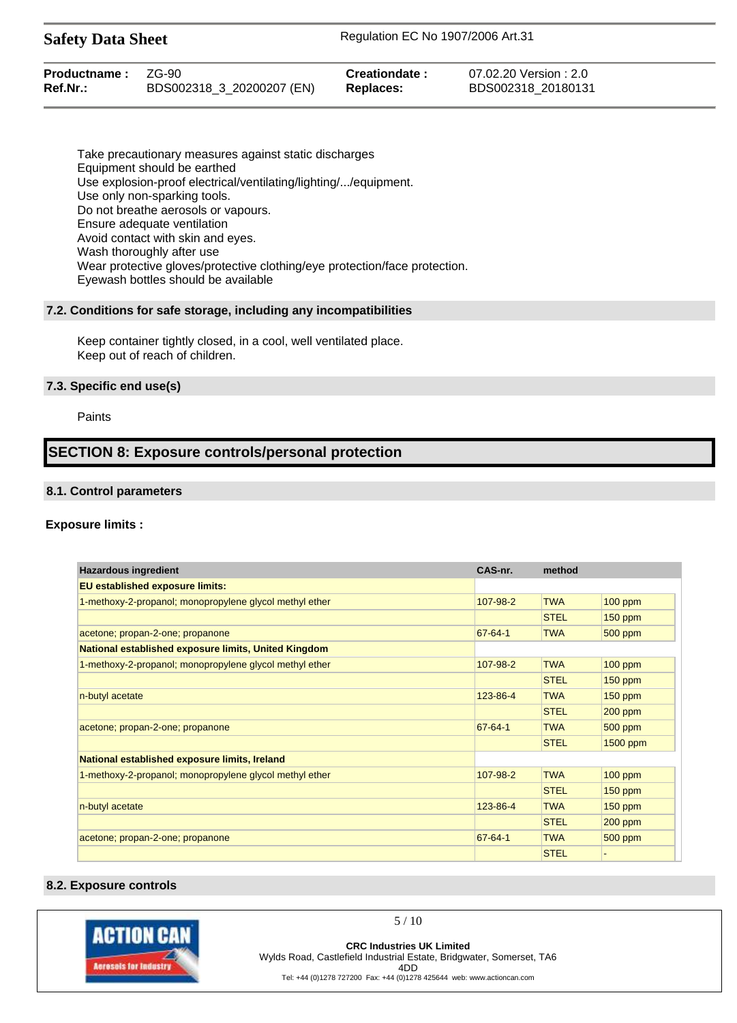| <b>Safety Data Sheet</b> | Regulation EC No 1907/2006 Art.31 |  |
|--------------------------|-----------------------------------|--|
|--------------------------|-----------------------------------|--|

| <b>Productname: ZG-90</b> |                           | Creationdate:    | 07.02.20 Version: 2.0 |
|---------------------------|---------------------------|------------------|-----------------------|
| <b>Ref.Nr.:</b>           | BDS002318_3_20200207 (EN) | <b>Replaces:</b> | BDS002318 20180131    |

Take precautionary measures against static discharges Equipment should be earthed Use explosion-proof electrical/ventilating/lighting/.../equipment. Use only non-sparking tools. Do not breathe aerosols or vapours. Ensure adequate ventilation Avoid contact with skin and eyes. Wash thoroughly after use Wear protective gloves/protective clothing/eye protection/face protection. Eyewash bottles should be available

#### **7.2. Conditions for safe storage, including any incompatibilities**

Keep container tightly closed, in a cool, well ventilated place. Keep out of reach of children.

#### **7.3. Specific end use(s)**

Paints

# **SECTION 8: Exposure controls/personal protection**

#### **8.1. Control parameters**

#### **Exposure limits :**

| <b>Hazardous ingredient</b>                                 | CAS-nr.       | method      |           |
|-------------------------------------------------------------|---------------|-------------|-----------|
| <b>EU established exposure limits:</b>                      |               |             |           |
| 1-methoxy-2-propanol; monopropylene glycol methyl ether     | 107-98-2      | <b>TWA</b>  | $100$ ppm |
|                                                             |               | <b>STEL</b> | $150$ ppm |
| acetone; propan-2-one; propanone                            | $67 - 64 - 1$ | <b>TWA</b>  | $500$ ppm |
| <b>National established exposure limits, United Kingdom</b> |               |             |           |
| 1-methoxy-2-propanol; monopropylene glycol methyl ether     | 107-98-2      | <b>TWA</b>  | 100 ppm   |
|                                                             |               | <b>STEL</b> | $150$ ppm |
| n-butyl acetate                                             | 123-86-4      | <b>TWA</b>  | $150$ ppm |
|                                                             |               | <b>STEL</b> | $200$ ppm |
| acetone; propan-2-one; propanone                            | $67 - 64 - 1$ | <b>TWA</b>  | $500$ ppm |
|                                                             |               | <b>STEL</b> | 1500 ppm  |
| National established exposure limits, Ireland               |               |             |           |
| 1-methoxy-2-propanol; monopropylene glycol methyl ether     | 107-98-2      | <b>TWA</b>  | $100$ ppm |
|                                                             |               | <b>STEL</b> | $150$ ppm |
| n-butyl acetate                                             | 123-86-4      | <b>TWA</b>  | $150$ ppm |
|                                                             |               | <b>STEL</b> | $200$ ppm |
| acetone; propan-2-one; propanone                            | $67 - 64 - 1$ | <b>TWA</b>  | $500$ ppm |
|                                                             |               | <b>STEL</b> |           |

#### **8.2. Exposure controls**



5 / 10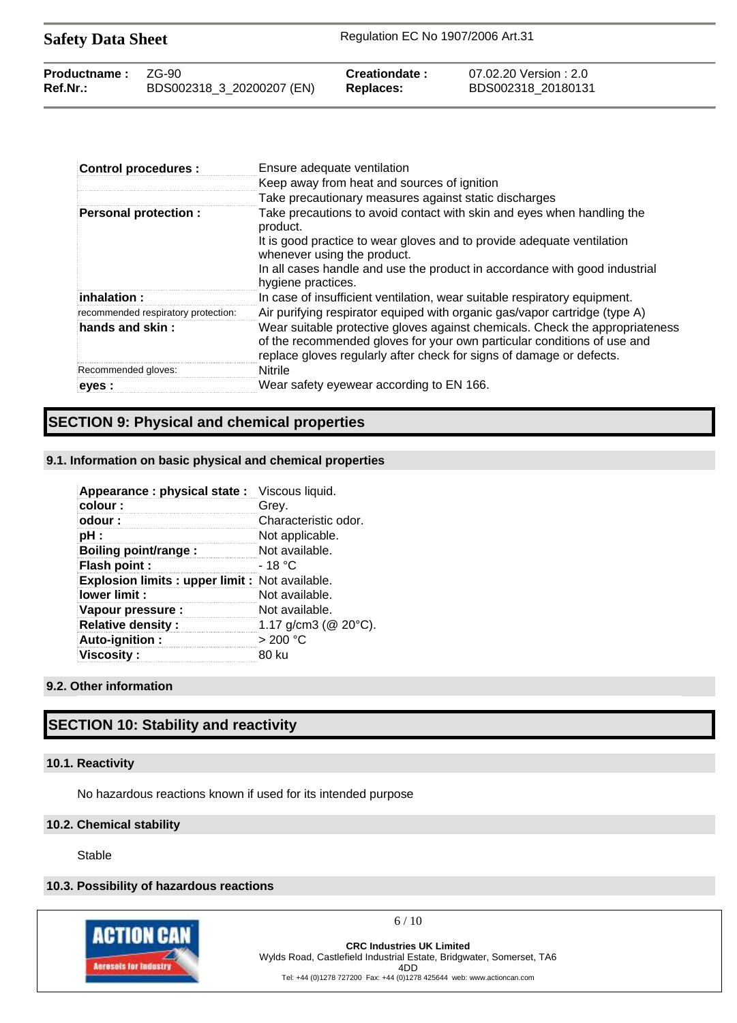| <b>Safety Data Sheet</b> |                           | Regulation EC No 1907/2006 Art.31 |                        |  |
|--------------------------|---------------------------|-----------------------------------|------------------------|--|
| Productname:             | ZG-90                     | Creationdate:                     | 07.02.20 Version : 2.0 |  |
| $Ref.Nr.$ :              | BDS002318_3_20200207 (EN) | Replaces:                         | BDS002318 20180131     |  |

| <b>Control procedures:</b>          | Ensure adequate ventilation                                                                                                                                                                                                     |
|-------------------------------------|---------------------------------------------------------------------------------------------------------------------------------------------------------------------------------------------------------------------------------|
|                                     | Keep away from heat and sources of ignition                                                                                                                                                                                     |
|                                     | Take precautionary measures against static discharges                                                                                                                                                                           |
| <b>Personal protection:</b>         | Take precautions to avoid contact with skin and eyes when handling the<br>product.                                                                                                                                              |
|                                     | It is good practice to wear gloves and to provide adequate ventilation<br>whenever using the product.                                                                                                                           |
|                                     | In all cases handle and use the product in accordance with good industrial<br>hygiene practices.                                                                                                                                |
| $i$ nhalation :                     | In case of insufficient ventilation, wear suitable respiratory equipment.                                                                                                                                                       |
| recommended respiratory protection: | Air purifying respirator equiped with organic gas/vapor cartridge (type A)                                                                                                                                                      |
| hands and skin:                     | Wear suitable protective gloves against chemicals. Check the appropriateness<br>of the recommended gloves for your own particular conditions of use and<br>replace gloves regularly after check for signs of damage or defects. |
| Recommended gloves:                 | <b>Nitrile</b>                                                                                                                                                                                                                  |
| eyes :                              | Wear safety eyewear according to EN 166.                                                                                                                                                                                        |

# **SECTION 9: Physical and chemical properties**

#### **9.1. Information on basic physical and chemical properties**

| Appearance : physical state : Viscous liquid.   |                             |
|-------------------------------------------------|-----------------------------|
| colour:                                         | Grey.                       |
| odour:                                          | Characteristic odor.        |
| pH :                                            | Not applicable.             |
| Boiling point/range:                            | Not available.              |
| Flash point :                                   | - 18 °C                     |
| Explosion limits : upper limit : Not available. |                             |
| lower limit :                                   | Not available.              |
| Vapour pressure :                               | Not available.              |
| <b>Relative density:</b>                        | 1.17 g/cm3 ( $@$ 20 $°C$ ). |
| Auto-ignition:                                  | > 200 °C                    |
| <b>Viscosity:</b>                               | 80 ku                       |

#### **9.2. Other information**

# **SECTION 10: Stability and reactivity**

#### **10.1. Reactivity**

No hazardous reactions known if used for its intended purpose

#### **10.2. Chemical stability**

Stable

# **10.3. Possibility of hazardous reactions**



 $6/10$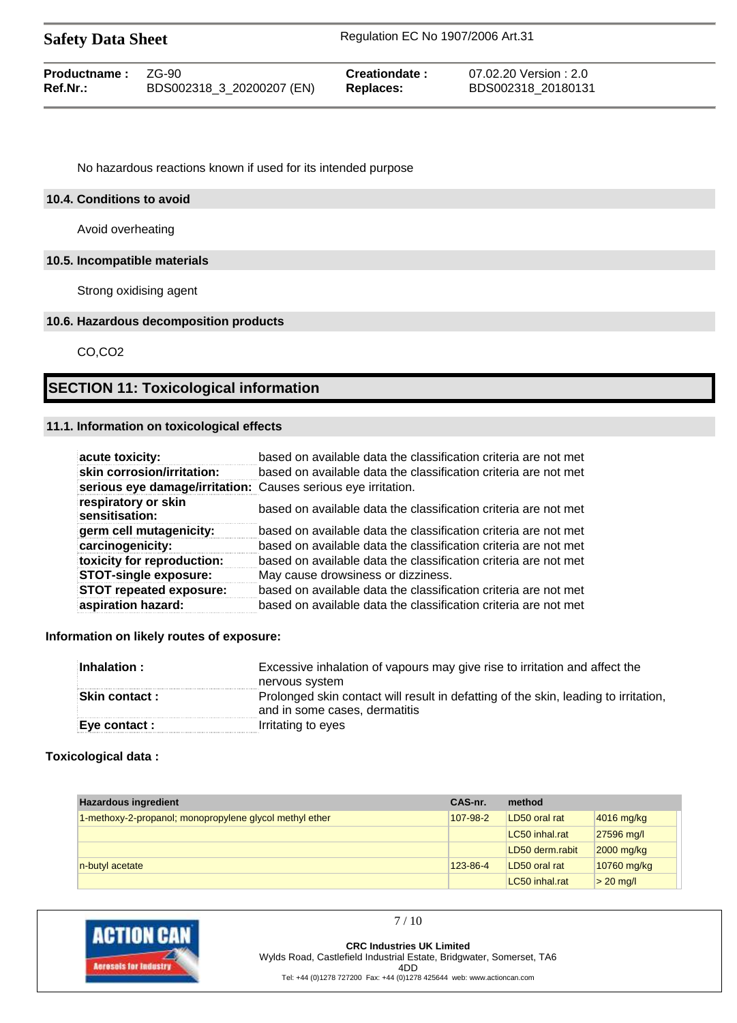| <b>Safety Data Sheet</b> |                           | Regulation EC No 1907/2006 Art.31 |                        |  |
|--------------------------|---------------------------|-----------------------------------|------------------------|--|
| Productname:             | 7G-90                     | Creationdate:                     | 07.02.20 Version : 2.0 |  |
| Ref.Nr.:                 | BDS002318_3_20200207 (EN) | <b>Replaces:</b>                  | BDS002318 20180131     |  |

No hazardous reactions known if used for its intended purpose

#### **10.4. Conditions to avoid**

Avoid overheating

### **10.5. Incompatible materials**

Strong oxidising agent

#### **10.6. Hazardous decomposition products**

CO,CO2

# **SECTION 11: Toxicological information**

### **11.1. Information on toxicological effects**

| acute toxicity:                                               | based on available data the classification criteria are not met |
|---------------------------------------------------------------|-----------------------------------------------------------------|
| skin corrosion/irritation:                                    | based on available data the classification criteria are not met |
| serious eye damage/irritation: Causes serious eye irritation. |                                                                 |
| respiratory or skin<br>sensitisation:                         | based on available data the classification criteria are not met |
| germ cell mutagenicity:                                       | based on available data the classification criteria are not met |
| carcinogenicity:                                              | based on available data the classification criteria are not met |
| toxicity for reproduction:                                    | based on available data the classification criteria are not met |
| <b>STOT-single exposure:</b>                                  | May cause drowsiness or dizziness.                              |
| <b>STOT repeated exposure:</b>                                | based on available data the classification criteria are not met |
| aspiration hazard:                                            | based on available data the classification criteria are not met |

#### **Information on likely routes of exposure:**

| Inhalation:          | Excessive inhalation of vapours may give rise to irritation and affect the<br>nervous system                         |
|----------------------|----------------------------------------------------------------------------------------------------------------------|
| <b>Skin contact:</b> | Prolonged skin contact will result in defatting of the skin, leading to irritation,<br>and in some cases, dermatitis |
| Eye contact :        | Irritating to eyes                                                                                                   |

#### **Toxicological data :**

| <b>Hazardous ingredient</b>                             | CAS-nr.  | method          |              |
|---------------------------------------------------------|----------|-----------------|--------------|
| 1-methoxy-2-propanol; monopropylene glycol methyl ether | 107-98-2 | LD50 oral rat   | $4016$ mg/kg |
|                                                         |          | LC50 inhal.rat  | 27596 mg/l   |
|                                                         |          | LD50 derm.rabit | $2000$ mg/kg |
| n-butyl acetate                                         | 123-86-4 | LD50 oral rat   | 10760 mg/kg  |
|                                                         |          | LC50 inhal.rat  | $> 20$ mg/l  |



**CRC Industries UK Limited** Wylds Road, Castlefield Industrial Estate, Bridgwater, Somerset, TA6 4DD Tel: +44 (0)1278 727200 Fax: +44 (0)1278 425644 web: www.actioncan.com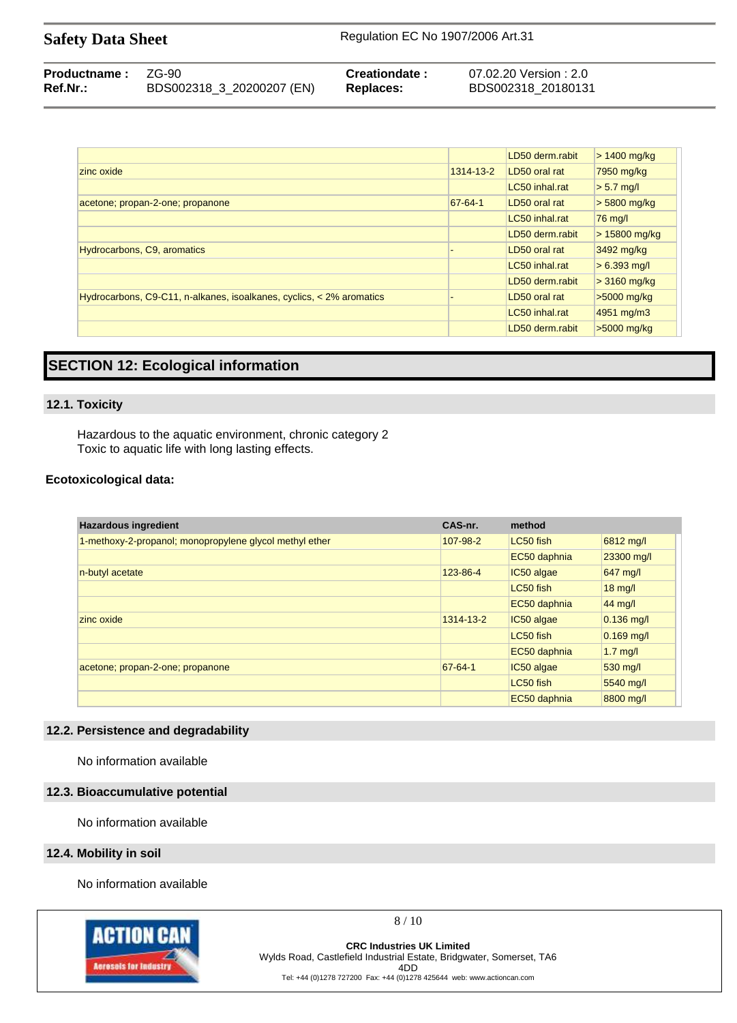| <b>Safety Data Sheet</b> | Regulation EC No 1907/2006 Art.31 |
|--------------------------|-----------------------------------|
|--------------------------|-----------------------------------|

| <b>Productname: ZG-90</b> |                           | Creationdate: | 07.02.20 Version : 2.0 |
|---------------------------|---------------------------|---------------|------------------------|
| Ref.Nr.:                  | BDS002318_3_20200207 (EN) | Replaces:     | BDS002318 20180131     |

|                                                                      |           | LD50 derm.rabit | $> 1400$ mg/kg |
|----------------------------------------------------------------------|-----------|-----------------|----------------|
| zinc oxide                                                           | 1314-13-2 | LD50 oral rat   | 7950 mg/kg     |
|                                                                      |           | LC50 inhal.rat  | $> 5.7$ mg/l   |
| acetone; propan-2-one; propanone                                     | 67-64-1   | LD50 oral rat   | $> 5800$ mg/kg |
|                                                                      |           | LC50 inhal.rat  | 76 mg/l        |
|                                                                      |           | LD50 derm.rabit | $>15800$ mg/kg |
| Hydrocarbons, C9, aromatics                                          |           | LD50 oral rat   | 3492 mg/kg     |
|                                                                      |           | LC50 inhal.rat  | $> 6.393$ mg/l |
|                                                                      |           | LD50 derm.rabit | $>3160$ mg/kg  |
| Hydrocarbons, C9-C11, n-alkanes, isoalkanes, cyclics, < 2% aromatics |           | LD50 oral rat   | >5000 mg/kg    |
|                                                                      |           | LC50 inhal.rat  | 4951 mg/m3     |
|                                                                      |           | LD50 derm.rabit | $>5000$ mg/kg  |

# **SECTION 12: Ecological information**

#### **12.1. Toxicity**

Hazardous to the aquatic environment, chronic category 2 Toxic to aquatic life with long lasting effects.

#### **Ecotoxicological data:**

| <b>Hazardous ingredient</b>                             | CAS-nr.   | method       |                   |
|---------------------------------------------------------|-----------|--------------|-------------------|
| 1-methoxy-2-propanol; monopropylene glycol methyl ether | 107-98-2  | LC50 fish    | 6812 mg/l         |
|                                                         |           | EC50 daphnia | 23300 mg/l        |
| n-butyl acetate                                         | 123-86-4  | IC50 algae   | 647 mg/l          |
|                                                         |           | LC50 fish    | $18 \text{ mg/l}$ |
|                                                         |           | EC50 daphnia | 44 mg/l           |
| zinc oxide                                              | 1314-13-2 | IC50 algae   | $0.136$ mg/l      |
|                                                         |           | LC50 fish    | $0.169$ mg/l      |
|                                                         |           | EC50 daphnia | $1.7$ mg/l        |
| acetone; propan-2-one; propanone                        | 67-64-1   | IC50 algae   | 530 mg/l          |
|                                                         |           | LC50 fish    | 5540 mg/l         |
|                                                         |           | EC50 daphnia | 8800 mg/l         |

#### **12.2. Persistence and degradability**

No information available

#### **12.3. Bioaccumulative potential**

No information available

#### **12.4. Mobility in soil**

No information available



8 / 10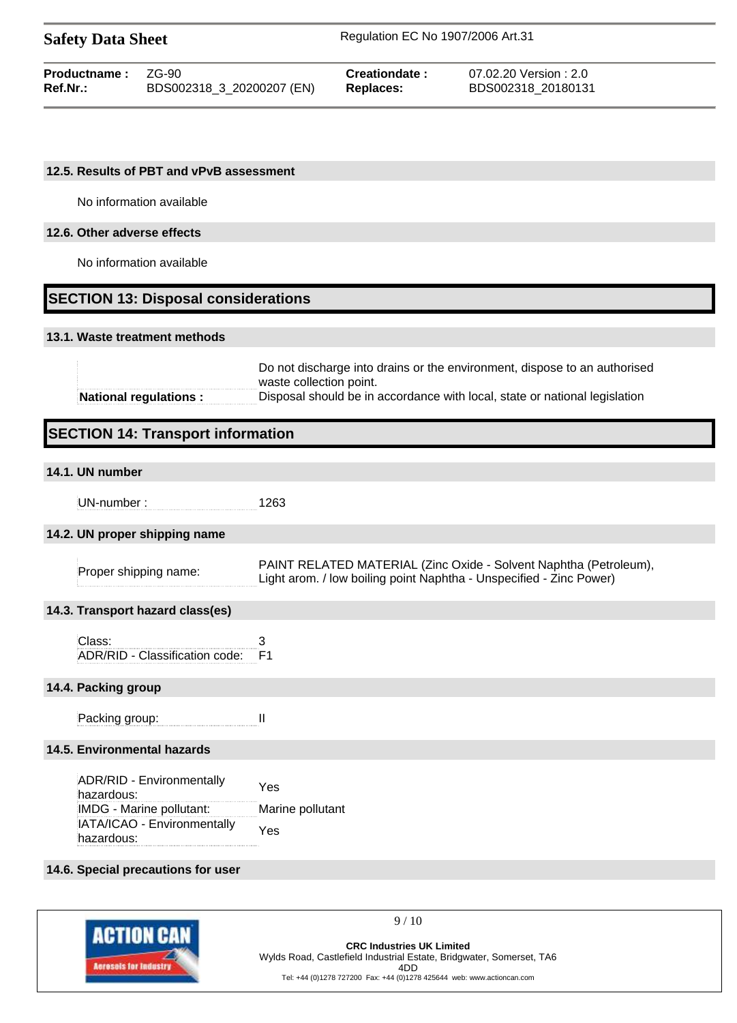| <b>Safety Data Sheet</b> |                           | Regulation EC No 1907/2006 Art.31 |                        |  |
|--------------------------|---------------------------|-----------------------------------|------------------------|--|
| Productname:             | 7G-90                     | Creationdate:                     | 07.02.20 Version : 2.0 |  |
| Ref.Nr.:                 | BDS002318 3 20200207 (EN) | <b>Replaces:</b>                  | BDS002318 20180131     |  |

#### **12.5. Results of PBT and vPvB assessment**

No information available

# **12.6. Other adverse effects**

No information available

# **SECTION 13: Disposal considerations**

#### **13.1. Waste treatment methods**

| National regulations: | Disposal should be in accordance with local, state or national legislation |
|-----------------------|----------------------------------------------------------------------------|
|                       | waste collection point.                                                    |
|                       | Do not discharge into drains or the environment, dispose to an authorised  |

# **SECTION 14: Transport information**

# **14.1. UN number**

UN-number : 1263

#### **14.2. UN proper shipping name**

|                       | PAINT RELATED MATERIAL (Zinc Oxide - Solvent Naphtha (Petroleum),   |
|-----------------------|---------------------------------------------------------------------|
| Proper shipping name: | Light arom. / low boiling point Naphtha - Unspecified - Zinc Power) |

#### **14.3. Transport hazard class(es)**

| Class:                            |  |
|-----------------------------------|--|
| ADR/RID - Classification code: F1 |  |

#### **14.4. Packing group**

Packing group: II

### **14.5. Environmental hazards**

| ADR/RID - Environmentally<br>hazardous:   | Yes              |
|-------------------------------------------|------------------|
| IMDG - Marine pollutant:                  | Marine pollutant |
| IATA/ICAO - Environmentally<br>hazardous: | Yes              |
|                                           |                  |

#### **14.6. Special precautions for user**